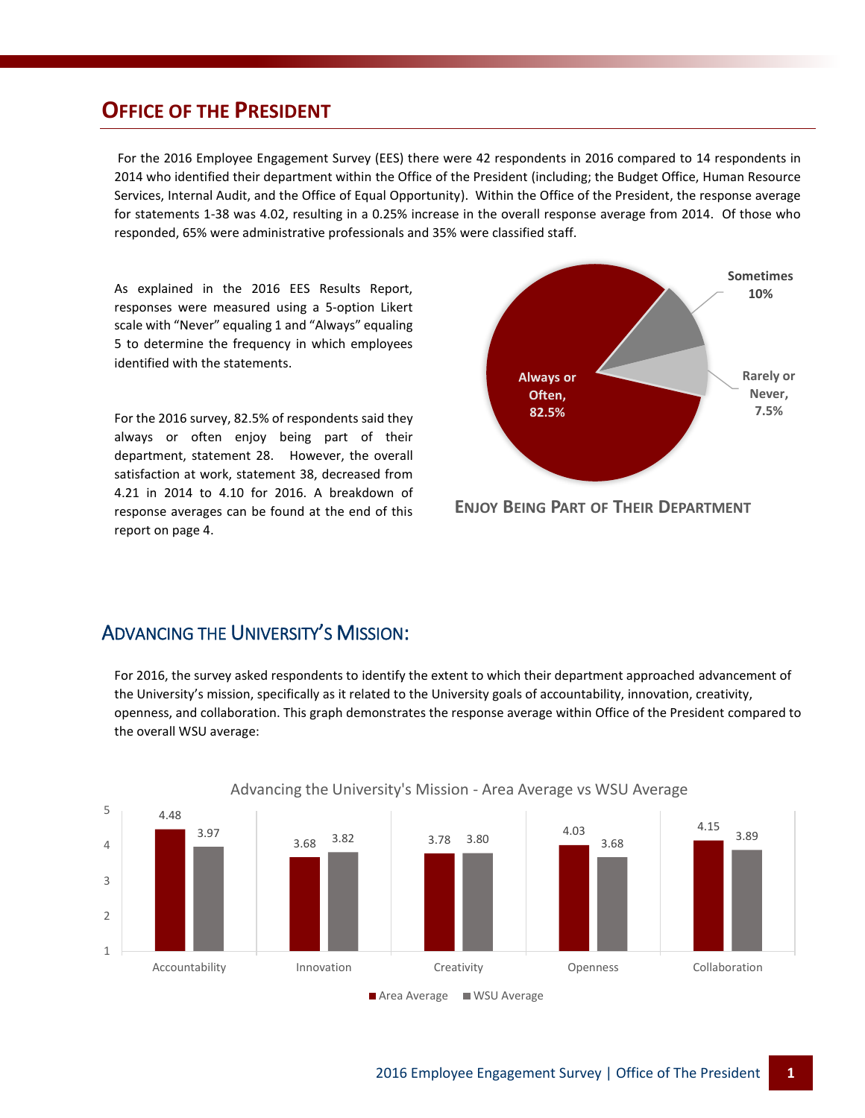## **OFFICE OF THE PRESIDENT**

For the 2016 Employee Engagement Survey (EES) there were 42 respondents in 2016 compared to 14 respondents in 2014 who identified their department within the Office of the President (including; the Budget Office, Human Resource Services, Internal Audit, and the Office of Equal Opportunity). Within the Office of the President, the response average for statements 1-38 was 4.02, resulting in a 0.25% increase in the overall response average from 2014. Of those who responded, 65% were administrative professionals and 35% were classified staff.

As explained in the 2016 EES Results Report, responses were measured using a 5-option Likert scale with "Never" equaling 1 and "Always" equaling 5 to determine the frequency in which employees identified with the statements.

For the 2016 survey, 82.5% of respondents said they always or often enjoy being part of their department, statement 28. However, the overall satisfaction at work, statement 38, decreased from 4.21 in 2014 to 4.10 for 2016. A breakdown of response averages can be found at the end of this report on page 4.



**ENJOY BEING PART OF THEIR DEPARTMENT**

#### ADVANCING THE UNIVERSITY'S MISSION:

For 2016, the survey asked respondents to identify the extent to which their department approached advancement of the University's mission, specifically as it related to the University goals of accountability, innovation, creativity, openness, and collaboration. This graph demonstrates the response average within Office of the President compared to the overall WSU average:



Advancing the University's Mission - Area Average vs WSU Average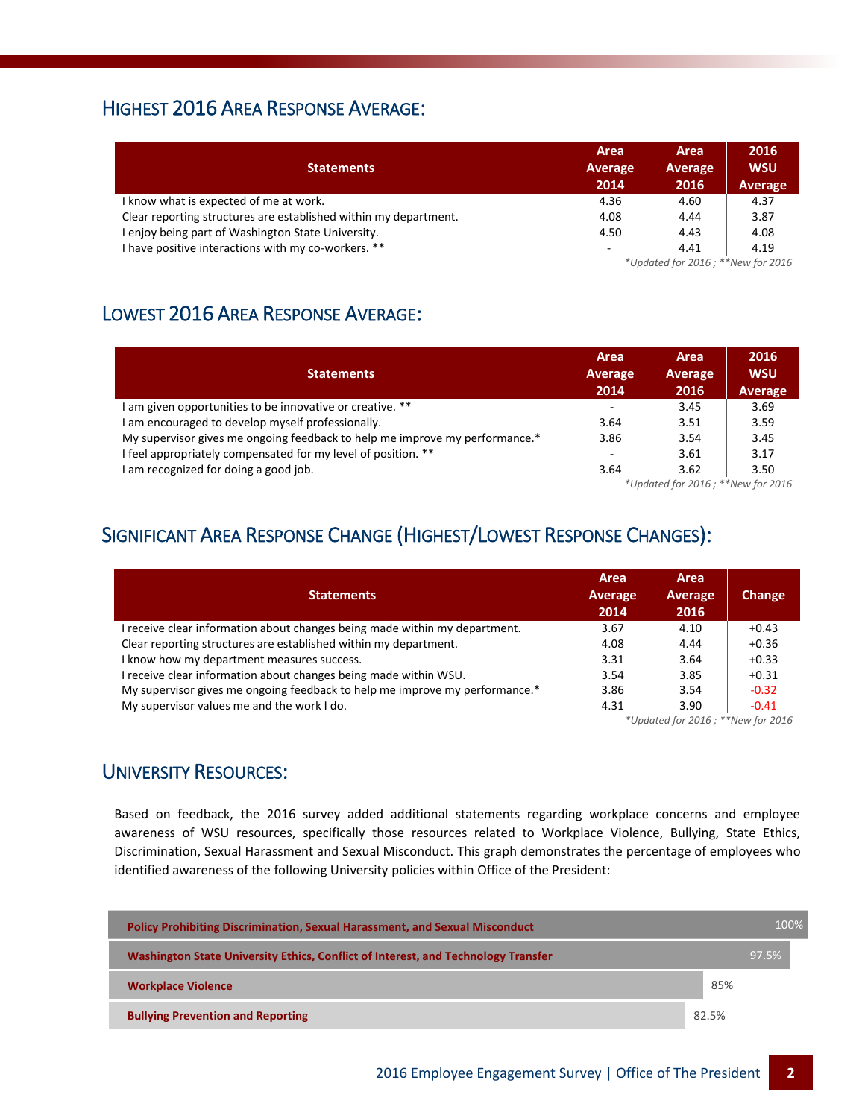### HIGHEST 2016 AREA RESPONSE AVERAGE:

| <b>Statements</b>                                                | Area<br>Average<br>2014           | Area<br>Average<br>2016 | 2016<br><b>WSU</b><br>Average |  |
|------------------------------------------------------------------|-----------------------------------|-------------------------|-------------------------------|--|
| I know what is expected of me at work.                           | 4.36                              | 4.60                    | 4.37                          |  |
| Clear reporting structures are established within my department. | 4.08                              | 4.44                    | 3.87                          |  |
| I enjoy being part of Washington State University.               | 4.50                              | 4.43                    | 4.08                          |  |
| I have positive interactions with my co-workers. **              | -                                 | 4.41                    | 4.19                          |  |
|                                                                  | *Updated for 2016; **New for 2016 |                         |                               |  |

## LOWEST 2016 AREA RESPONSE AVERAGE:

| <b>Statements</b>                                                           | Area<br>Average<br>2014           | <b>Area</b><br>Average<br>2016 | 2016<br><b>WSU</b><br><b>Average</b> |
|-----------------------------------------------------------------------------|-----------------------------------|--------------------------------|--------------------------------------|
| I am given opportunities to be innovative or creative. **                   | ٠                                 | 3.45                           | 3.69                                 |
| I am encouraged to develop myself professionally.                           | 3.64                              | 3.51                           | 3.59                                 |
| My supervisor gives me ongoing feedback to help me improve my performance.* | 3.86                              | 3.54                           | 3.45                                 |
| I feel appropriately compensated for my level of position. **               | ۰                                 | 3.61                           | 3.17                                 |
| I am recognized for doing a good job.                                       | 3.64                              | 3.62                           | 3.50                                 |
|                                                                             | *Updated for 2016; **New for 2016 |                                |                                      |

# SIGNIFICANT AREA RESPONSE CHANGE (HIGHEST/LOWEST RESPONSE CHANGES):

| <b>Statements</b>                                                           | Area<br>Average<br>2014           | Area<br>Average<br>2016 | Change  |
|-----------------------------------------------------------------------------|-----------------------------------|-------------------------|---------|
| I receive clear information about changes being made within my department.  | 3.67                              | 4.10                    | $+0.43$ |
| Clear reporting structures are established within my department.            | 4.08                              | 4.44                    | $+0.36$ |
| I know how my department measures success.                                  | 3.31                              | 3.64                    | $+0.33$ |
| I receive clear information about changes being made within WSU.            | 3.54                              | 3.85                    | $+0.31$ |
| My supervisor gives me ongoing feedback to help me improve my performance.* | 3.86                              | 3.54                    | $-0.32$ |
| My supervisor values me and the work I do.                                  | 4.31                              | 3.90                    | $-0.41$ |
|                                                                             | *Updated for 2016; **New for 2016 |                         |         |

## UNIVERSITY RESOURCES:

Based on feedback, the 2016 survey added additional statements regarding workplace concerns and employee awareness of WSU resources, specifically those resources related to Workplace Violence, Bullying, State Ethics, Discrimination, Sexual Harassment and Sexual Misconduct. This graph demonstrates the percentage of employees who identified awareness of the following University policies within Office of the President:

| <b>Policy Prohibiting Discrimination, Sexual Harassment, and Sexual Misconduct</b> | 100%  |  |
|------------------------------------------------------------------------------------|-------|--|
| Washington State University Ethics, Conflict of Interest, and Technology Transfer  | 97.5% |  |
| <b>Workplace Violence</b>                                                          | 85%   |  |
| <b>Bullying Prevention and Reporting</b>                                           | 82.5% |  |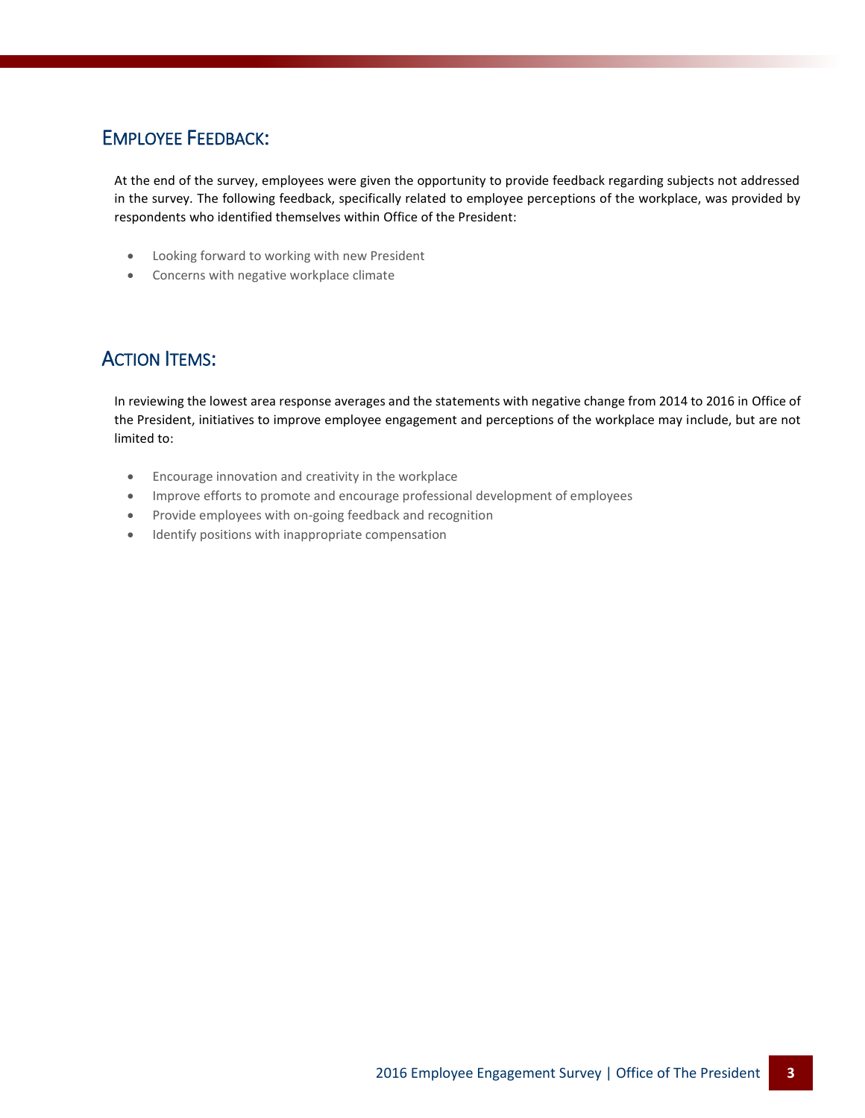### EMPLOYEE FEEDBACK:

At the end of the survey, employees were given the opportunity to provide feedback regarding subjects not addressed in the survey. The following feedback, specifically related to employee perceptions of the workplace, was provided by respondents who identified themselves within Office of the President:

- Looking forward to working with new President
- Concerns with negative workplace climate

### **ACTION ITEMS:**

In reviewing the lowest area response averages and the statements with negative change from 2014 to 2016 in Office of the President, initiatives to improve employee engagement and perceptions of the workplace may include, but are not limited to:

- Encourage innovation and creativity in the workplace
- Improve efforts to promote and encourage professional development of employees
- Provide employees with on-going feedback and recognition
- Identify positions with inappropriate compensation